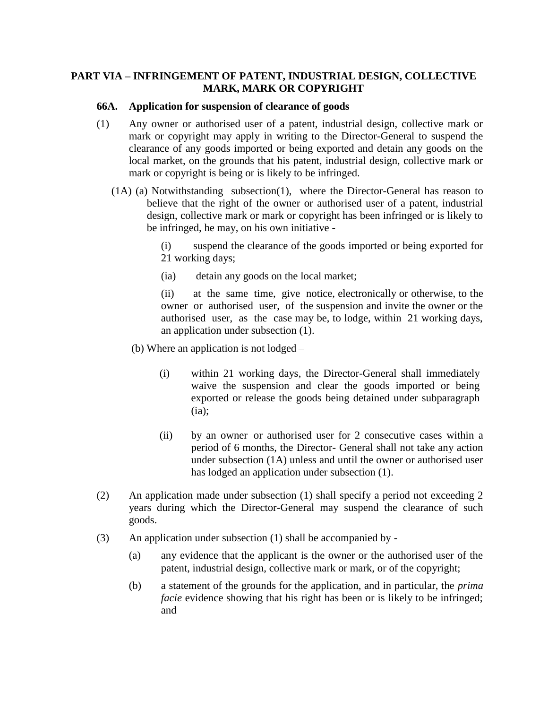## **PART VIA – INFRINGEMENT OF PATENT, INDUSTRIAL DESIGN, COLLECTIVE MARK, MARK OR COPYRIGHT**

#### **66A. Application for suspension of clearance of goods**

- (1) Any owner or authorised user of a patent, industrial design, collective mark or mark or copyright may apply in writing to the Director-General to suspend the clearance of any goods imported or being exported and detain any goods on the local market, on the grounds that his patent, industrial design, collective mark or mark or copyright is being or is likely to be infringed.
	- (1A) (a) Notwithstanding subsection(1), where the Director-General has reason to believe that the right of the owner or authorised user of a patent, industrial design, collective mark or mark or copyright has been infringed or is likely to be infringed, he may, on his own initiative -

(i) suspend the clearance of the goods imported or being exported for 21 working days;

(ia) detain any goods on the local market;

(ii) at the same time, give notice, electronically or otherwise, to the owner or authorised user, of the suspension and invite the owner or the authorised user, as the case may be, to lodge, within 21 working days, an application under subsection (1).

(b) Where an application is not lodged –

- (i) within 21 working days, the Director-General shall immediately waive the suspension and clear the goods imported or being exported or release the goods being detained under subparagraph  $(ia)$ :
- (ii) by an owner or authorised user for 2 consecutive cases within a period of 6 months, the Director- General shall not take any action under subsection (1A) unless and until the owner or authorised user has lodged an application under subsection (1).
- (2) An application made under subsection (1) shall specify a period not exceeding 2 years during which the Director-General may suspend the clearance of such goods.
- (3) An application under subsection (1) shall be accompanied by
	- (a) any evidence that the applicant is the owner or the authorised user of the patent, industrial design, collective mark or mark, or of the copyright;
	- (b) a statement of the grounds for the application, and in particular, the *prima facie* evidence showing that his right has been or is likely to be infringed; and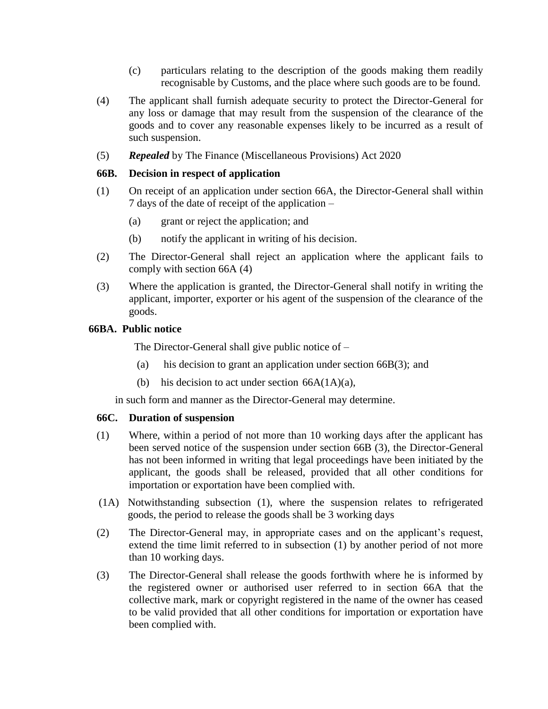- (c) particulars relating to the description of the goods making them readily recognisable by Customs, and the place where such goods are to be found.
- (4) The applicant shall furnish adequate security to protect the Director-General for any loss or damage that may result from the suspension of the clearance of the goods and to cover any reasonable expenses likely to be incurred as a result of such suspension.
- (5) *Repealed* by The Finance (Miscellaneous Provisions) Act 2020

### **66B. Decision in respect of application**

- (1) On receipt of an application under section 66A, the Director-General shall within 7 days of the date of receipt of the application –
	- (a) grant or reject the application; and
	- (b) notify the applicant in writing of his decision.
- (2) The Director-General shall reject an application where the applicant fails to comply with section 66A (4)
- (3) Where the application is granted, the Director-General shall notify in writing the applicant, importer, exporter or his agent of the suspension of the clearance of the goods.

### **66BA. Public notice**

The Director-General shall give public notice of –

- (a) his decision to grant an application under section 66B(3); and
- (b) his decision to act under section  $66A(1A)(a)$ ,

in such form and manner as the Director-General may determine.

### **66C. Duration of suspension**

- (1) Where, within a period of not more than 10 working days after the applicant has been served notice of the suspension under section 66B (3), the Director-General has not been informed in writing that legal proceedings have been initiated by the applicant, the goods shall be released, provided that all other conditions for importation or exportation have been complied with.
- (1A) Notwithstanding subsection (1), where the suspension relates to refrigerated goods, the period to release the goods shall be 3 working days
- (2) The Director-General may, in appropriate cases and on the applicant's request, extend the time limit referred to in subsection (1) by another period of not more than 10 working days.
- (3) The Director-General shall release the goods forthwith where he is informed by the registered owner or authorised user referred to in section 66A that the collective mark, mark or copyright registered in the name of the owner has ceased to be valid provided that all other conditions for importation or exportation have been complied with.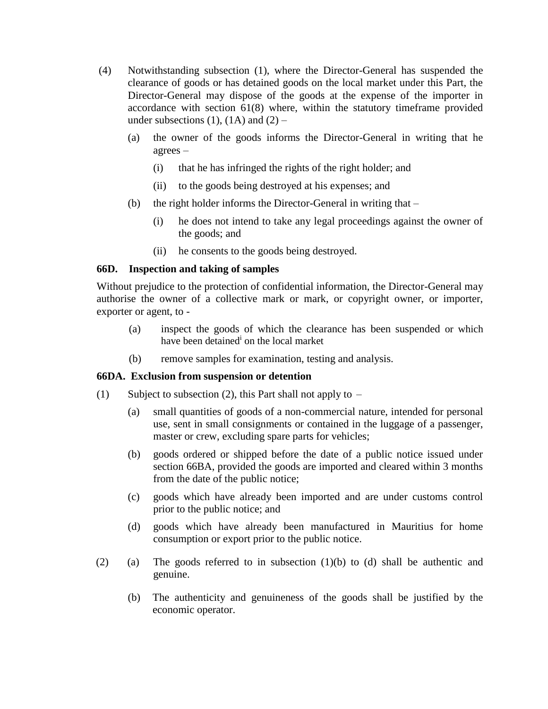- (4) Notwithstanding subsection (1), where the Director-General has suspended the clearance of goods or has detained goods on the local market under this Part, the Director-General may dispose of the goods at the expense of the importer in accordance with section 61(8) where, within the statutory timeframe provided under subsections (1), (1A) and  $(2)$  –
	- (a) the owner of the goods informs the Director-General in writing that he agrees –
		- (i) that he has infringed the rights of the right holder; and
		- (ii) to the goods being destroyed at his expenses; and
	- (b) the right holder informs the Director-General in writing that
		- (i) he does not intend to take any legal proceedings against the owner of the goods; and
		- (ii) he consents to the goods being destroyed.

### **66D. Inspection and taking of samples**

Without prejudice to the protection of confidential information, the Director-General may authorise the owner of a collective mark or mark, or copyright owner, or importer, exporter or agent, to -

- (a) inspect the goods of which the clearance has been suspended or which have been detained<sup>i</sup> on the local market
- (b) remove samples for examination, testing and analysis.

## **66DA. Exclusion from suspension or detention**

- (1) Subject to subsection (2), this Part shall not apply to  $-$ 
	- (a) small quantities of goods of a non-commercial nature, intended for personal use, sent in small consignments or contained in the luggage of a passenger, master or crew, excluding spare parts for vehicles;
	- (b) goods ordered or shipped before the date of a public notice issued under section 66BA, provided the goods are imported and cleared within 3 months from the date of the public notice;
	- (c) goods which have already been imported and are under customs control prior to the public notice; and
	- (d) goods which have already been manufactured in Mauritius for home consumption or export prior to the public notice.
- (2) (a) The goods referred to in subsection (1)(b) to (d) shall be authentic and genuine.
	- (b) The authenticity and genuineness of the goods shall be justified by the economic operator.